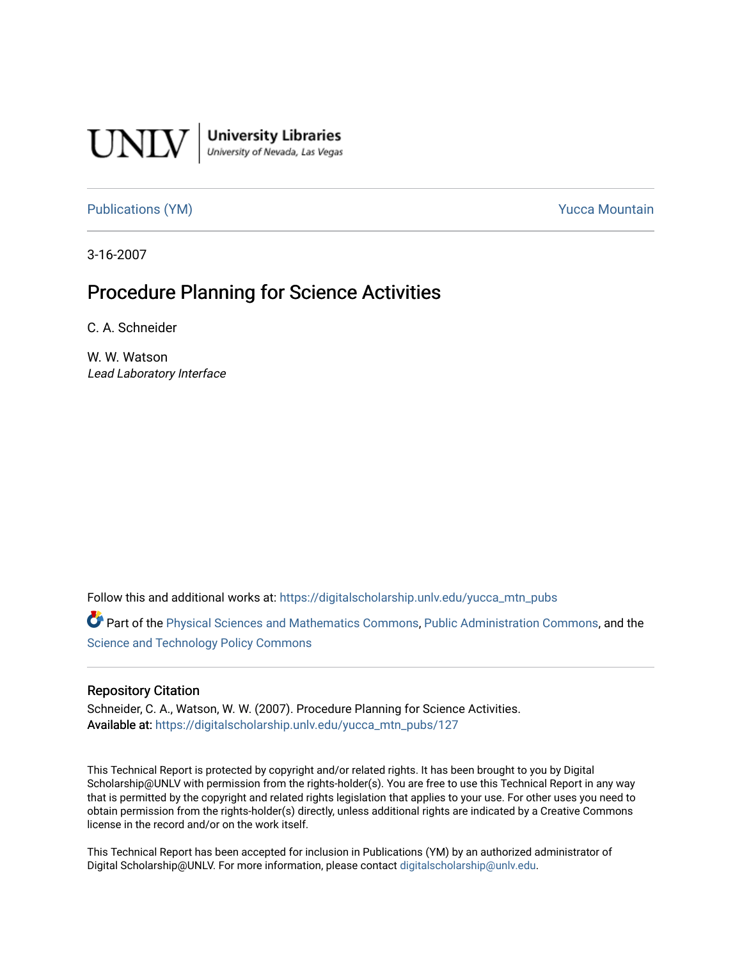

[Publications \(YM\)](https://digitalscholarship.unlv.edu/yucca_mtn_pubs) **Publications** (YM) **Publications** (YM)

3-16-2007

# Procedure Planning for Science Activities

C. A. Schneider

W. W. Watson Lead Laboratory Interface

Follow this and additional works at: [https://digitalscholarship.unlv.edu/yucca\\_mtn\\_pubs](https://digitalscholarship.unlv.edu/yucca_mtn_pubs?utm_source=digitalscholarship.unlv.edu%2Fyucca_mtn_pubs%2F127&utm_medium=PDF&utm_campaign=PDFCoverPages)

Part of the [Physical Sciences and Mathematics Commons,](http://network.bepress.com/hgg/discipline/114?utm_source=digitalscholarship.unlv.edu%2Fyucca_mtn_pubs%2F127&utm_medium=PDF&utm_campaign=PDFCoverPages) [Public Administration Commons](http://network.bepress.com/hgg/discipline/398?utm_source=digitalscholarship.unlv.edu%2Fyucca_mtn_pubs%2F127&utm_medium=PDF&utm_campaign=PDFCoverPages), and the [Science and Technology Policy Commons](http://network.bepress.com/hgg/discipline/1029?utm_source=digitalscholarship.unlv.edu%2Fyucca_mtn_pubs%2F127&utm_medium=PDF&utm_campaign=PDFCoverPages) 

#### Repository Citation

Schneider, C. A., Watson, W. W. (2007). Procedure Planning for Science Activities. Available at: [https://digitalscholarship.unlv.edu/yucca\\_mtn\\_pubs/127](https://digitalscholarship.unlv.edu/yucca_mtn_pubs/127) 

This Technical Report is protected by copyright and/or related rights. It has been brought to you by Digital Scholarship@UNLV with permission from the rights-holder(s). You are free to use this Technical Report in any way that is permitted by the copyright and related rights legislation that applies to your use. For other uses you need to obtain permission from the rights-holder(s) directly, unless additional rights are indicated by a Creative Commons license in the record and/or on the work itself.

This Technical Report has been accepted for inclusion in Publications (YM) by an authorized administrator of Digital Scholarship@UNLV. For more information, please contact [digitalscholarship@unlv.edu](mailto:digitalscholarship@unlv.edu).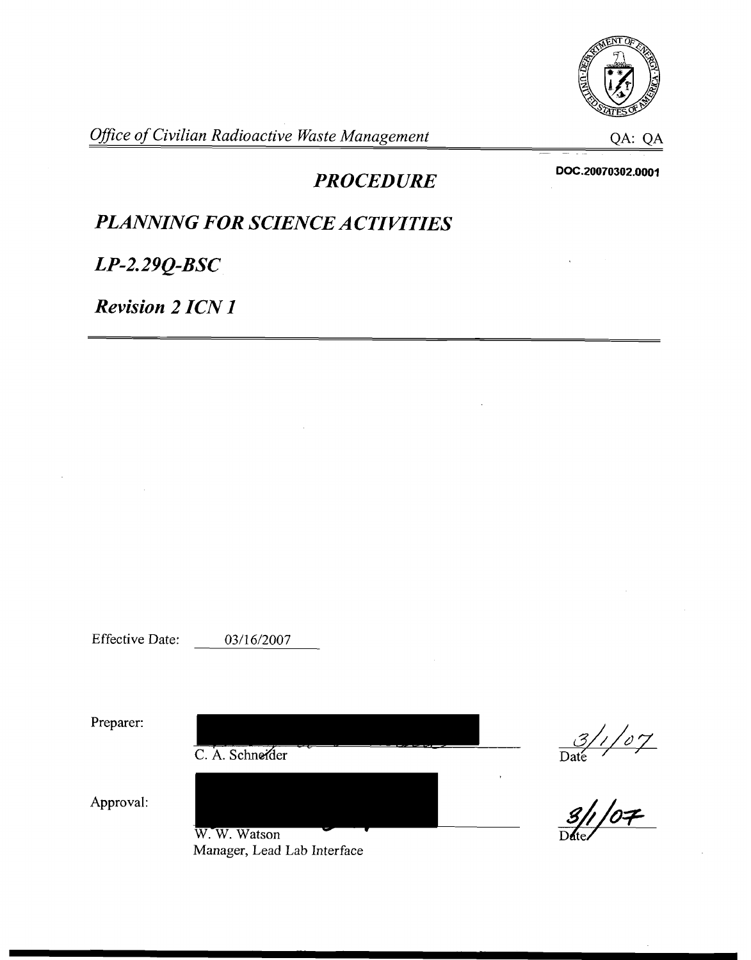

*Office of Civilian Radioactive Waste Management* **CA: QA: QA: QA** 

*PROCEDURE* 

DOC.20070302.0001

# *PLANNING FOR SCIENCE ACTIVITIES*

 $LP-2.29Q-BSC$ 

*Revision 2 ICN I* 

Effective Date: 03/16/2007

Preparer:  $\frac{3/107}{\text{Date}}$ C. A. Schneider Approval: W.W. Watson Manager, Lead Lab Interface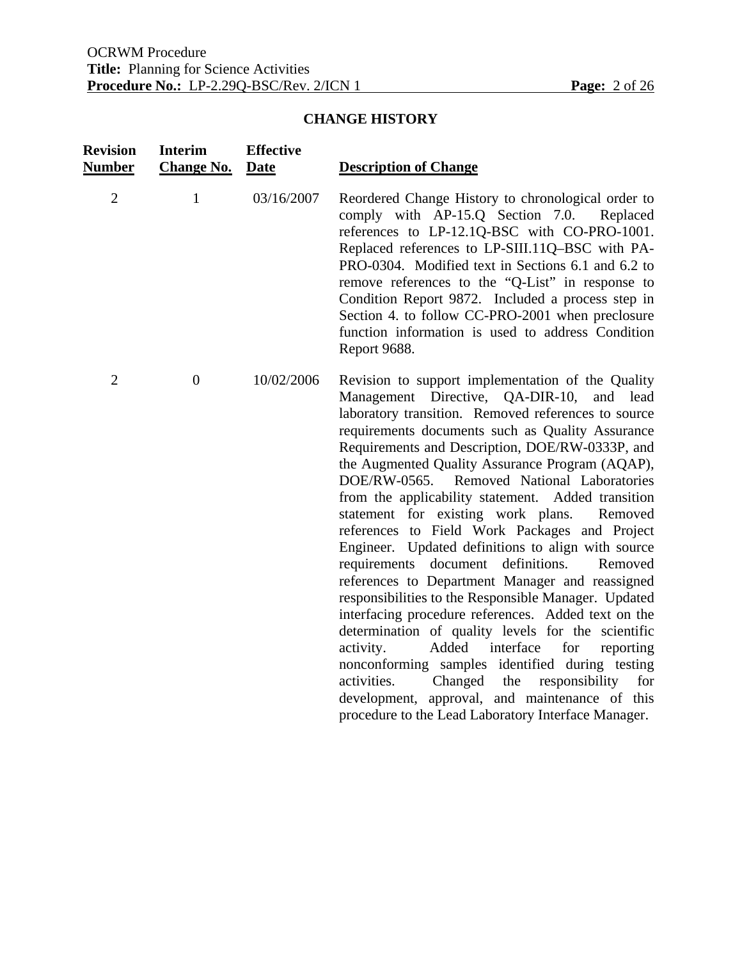# **CHANGE HISTORY**

| <b>Revision</b><br>Number | <b>Interim</b><br><b>Change No.</b> | <b>Effective</b><br><b>Date</b> | <b>Description of Change</b>                                                                                                                                                                                                                                                                                                                                                                                                                                                                                                                                                                                                                                                                                                                                                                                                                                                                                                                                                                                                                                                                                                               |
|---------------------------|-------------------------------------|---------------------------------|--------------------------------------------------------------------------------------------------------------------------------------------------------------------------------------------------------------------------------------------------------------------------------------------------------------------------------------------------------------------------------------------------------------------------------------------------------------------------------------------------------------------------------------------------------------------------------------------------------------------------------------------------------------------------------------------------------------------------------------------------------------------------------------------------------------------------------------------------------------------------------------------------------------------------------------------------------------------------------------------------------------------------------------------------------------------------------------------------------------------------------------------|
| $\overline{2}$            | $\mathbf{1}$                        | 03/16/2007                      | Reordered Change History to chronological order to<br>comply with AP-15.Q Section 7.0.<br>Replaced<br>references to LP-12.1Q-BSC with CO-PRO-1001.<br>Replaced references to LP-SIII.11Q-BSC with PA-<br>PRO-0304. Modified text in Sections 6.1 and 6.2 to<br>remove references to the "Q-List" in response to<br>Condition Report 9872. Included a process step in<br>Section 4. to follow CC-PRO-2001 when preclosure<br>function information is used to address Condition<br>Report 9688.                                                                                                                                                                                                                                                                                                                                                                                                                                                                                                                                                                                                                                              |
| $\overline{2}$            | $\boldsymbol{0}$                    | 10/02/2006                      | Revision to support implementation of the Quality<br>Management Directive, QA-DIR-10,<br>and lead<br>laboratory transition. Removed references to source<br>requirements documents such as Quality Assurance<br>Requirements and Description, DOE/RW-0333P, and<br>the Augmented Quality Assurance Program (AQAP),<br>Removed National Laboratories<br>DOE/RW-0565.<br>from the applicability statement. Added transition<br>statement for existing work plans.<br>Removed<br>references to Field Work Packages and Project<br>Engineer. Updated definitions to align with source<br>document<br>definitions.<br>requirements<br>Removed<br>references to Department Manager and reassigned<br>responsibilities to the Responsible Manager. Updated<br>interfacing procedure references. Added text on the<br>determination of quality levels for the scientific<br>Added interface<br>for<br>activity.<br>reporting<br>nonconforming samples identified during testing<br>Changed<br>activities.<br>the<br>responsibility<br>for<br>development, approval, and maintenance of this<br>procedure to the Lead Laboratory Interface Manager. |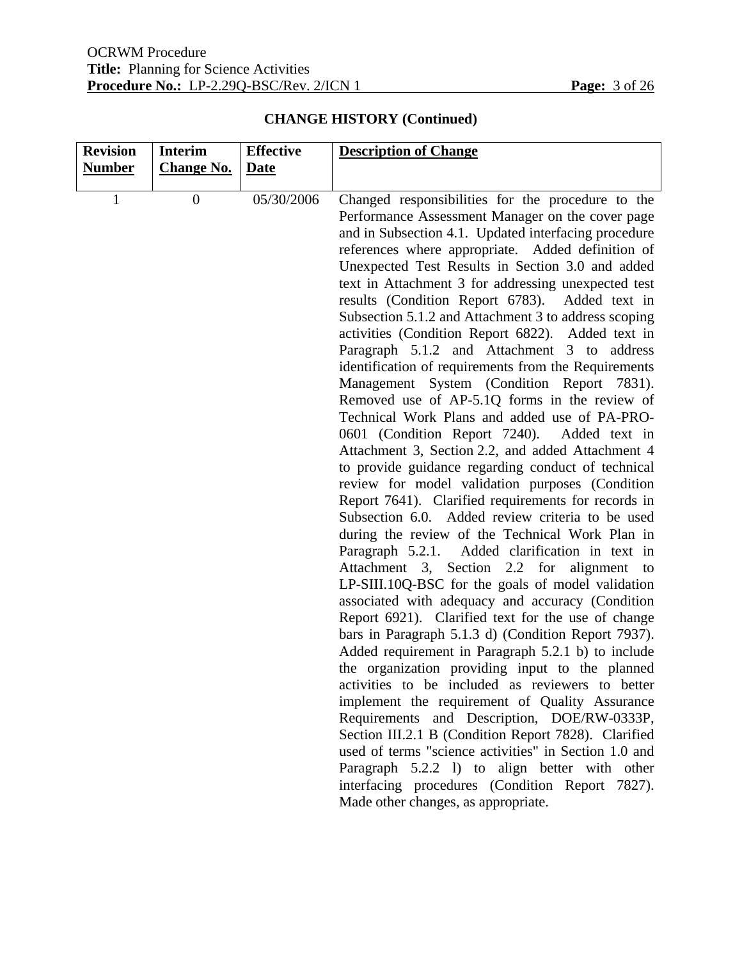| <b>Revision</b> | <b>Interim</b>    | <b>Effective</b> | <b>Description of Change</b>                                                                                                                                                                                                                                                                                                                                                                                                                                                                                                                                                                                                                                                                                                                                                                                                                                                                                                                                                                                                                                                                                                                                                                                                                                                                                                                                                                                                                                                                                                                                                                                                                                                                                                                                                                                                                                                                                                                                                          |
|-----------------|-------------------|------------------|---------------------------------------------------------------------------------------------------------------------------------------------------------------------------------------------------------------------------------------------------------------------------------------------------------------------------------------------------------------------------------------------------------------------------------------------------------------------------------------------------------------------------------------------------------------------------------------------------------------------------------------------------------------------------------------------------------------------------------------------------------------------------------------------------------------------------------------------------------------------------------------------------------------------------------------------------------------------------------------------------------------------------------------------------------------------------------------------------------------------------------------------------------------------------------------------------------------------------------------------------------------------------------------------------------------------------------------------------------------------------------------------------------------------------------------------------------------------------------------------------------------------------------------------------------------------------------------------------------------------------------------------------------------------------------------------------------------------------------------------------------------------------------------------------------------------------------------------------------------------------------------------------------------------------------------------------------------------------------------|
| <b>Number</b>   | <b>Change No.</b> | Date             |                                                                                                                                                                                                                                                                                                                                                                                                                                                                                                                                                                                                                                                                                                                                                                                                                                                                                                                                                                                                                                                                                                                                                                                                                                                                                                                                                                                                                                                                                                                                                                                                                                                                                                                                                                                                                                                                                                                                                                                       |
| $\mathbf{1}$    | $\overline{0}$    | 05/30/2006       | Changed responsibilities for the procedure to the<br>Performance Assessment Manager on the cover page<br>and in Subsection 4.1. Updated interfacing procedure<br>references where appropriate. Added definition of<br>Unexpected Test Results in Section 3.0 and added<br>text in Attachment 3 for addressing unexpected test<br>results (Condition Report 6783).<br>Added text in<br>Subsection 5.1.2 and Attachment 3 to address scoping<br>activities (Condition Report 6822). Added text in<br>Paragraph 5.1.2 and Attachment 3 to address<br>identification of requirements from the Requirements<br>Management System (Condition Report 7831).<br>Removed use of AP-5.1Q forms in the review of<br>Technical Work Plans and added use of PA-PRO-<br>0601 (Condition Report 7240). Added text in<br>Attachment 3, Section 2.2, and added Attachment 4<br>to provide guidance regarding conduct of technical<br>review for model validation purposes (Condition<br>Report 7641). Clarified requirements for records in<br>Subsection 6.0. Added review criteria to be used<br>during the review of the Technical Work Plan in<br>Paragraph 5.2.1.<br>Added clarification in text in<br>Attachment 3, Section 2.2 for alignment to<br>LP-SIII.10Q-BSC for the goals of model validation<br>associated with adequacy and accuracy (Condition<br>Report 6921). Clarified text for the use of change<br>bars in Paragraph 5.1.3 d) (Condition Report 7937).<br>Added requirement in Paragraph 5.2.1 b) to include<br>the organization providing input to the planned<br>activities to be included as reviewers to better<br>implement the requirement of Quality Assurance<br>Requirements and Description, DOE/RW-0333P,<br>Section III.2.1 B (Condition Report 7828). Clarified<br>used of terms "science activities" in Section 1.0 and<br>Paragraph 5.2.2 l) to align better with other<br>interfacing procedures (Condition Report 7827).<br>Made other changes, as appropriate. |

# **CHANGE HISTORY (Continued)**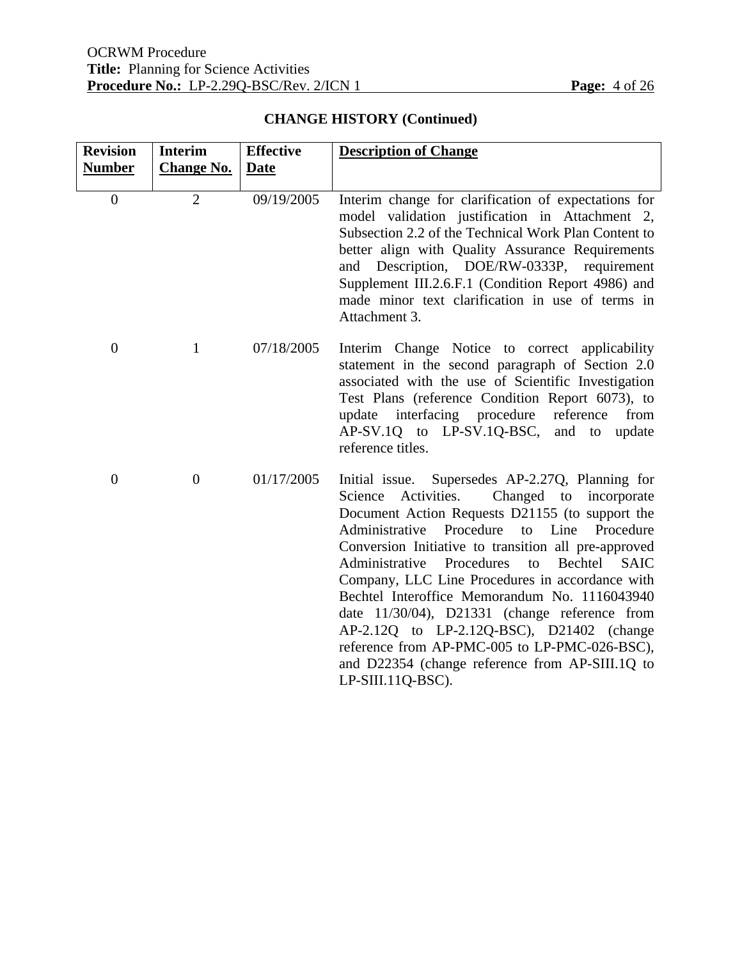| <b>Revision</b>  | <b>Interim</b>    | <b>Effective</b> | <b>Description of Change</b>                                                                                                                                                                                                                                                                                                                                                                                                                                                                                                                                                                                                                                            |
|------------------|-------------------|------------------|-------------------------------------------------------------------------------------------------------------------------------------------------------------------------------------------------------------------------------------------------------------------------------------------------------------------------------------------------------------------------------------------------------------------------------------------------------------------------------------------------------------------------------------------------------------------------------------------------------------------------------------------------------------------------|
| <b>Number</b>    | <b>Change No.</b> | <b>Date</b>      |                                                                                                                                                                                                                                                                                                                                                                                                                                                                                                                                                                                                                                                                         |
| $\overline{0}$   | $\overline{2}$    | 09/19/2005       | Interim change for clarification of expectations for<br>model validation justification in Attachment 2,<br>Subsection 2.2 of the Technical Work Plan Content to<br>better align with Quality Assurance Requirements<br>Description, DOE/RW-0333P, requirement<br>and<br>Supplement III.2.6.F.1 (Condition Report 4986) and<br>made minor text clarification in use of terms in<br>Attachment 3.                                                                                                                                                                                                                                                                         |
| $\boldsymbol{0}$ | 1                 | 07/18/2005       | Interim Change Notice to correct applicability<br>statement in the second paragraph of Section 2.0<br>associated with the use of Scientific Investigation<br>Test Plans (reference Condition Report 6073), to<br>interfacing procedure<br>reference<br>from<br>update<br>AP-SV.1Q to LP-SV.1Q-BSC, and to update<br>reference titles.                                                                                                                                                                                                                                                                                                                                   |
| $\overline{0}$   | $\overline{0}$    | 01/17/2005       | Initial issue. Supersedes AP-2.27Q, Planning for<br>Activities.<br>Changed to<br>incorporate<br>Science<br>Document Action Requests D21155 (to support the<br>Procedure<br>Line<br>Administrative<br>Procedure<br>to<br>Conversion Initiative to transition all pre-approved<br>Administrative<br>Procedures<br>Bechtel<br><b>SAIC</b><br>to<br>Company, LLC Line Procedures in accordance with<br>Bechtel Interoffice Memorandum No. 1116043940<br>date 11/30/04), D21331 (change reference from<br>AP-2.12Q to LP-2.12Q-BSC), D21402 (change<br>reference from AP-PMC-005 to LP-PMC-026-BSC),<br>and D22354 (change reference from AP-SIII.1Q to<br>LP-SIII.11Q-BSC). |

# **CHANGE HISTORY (Continued)**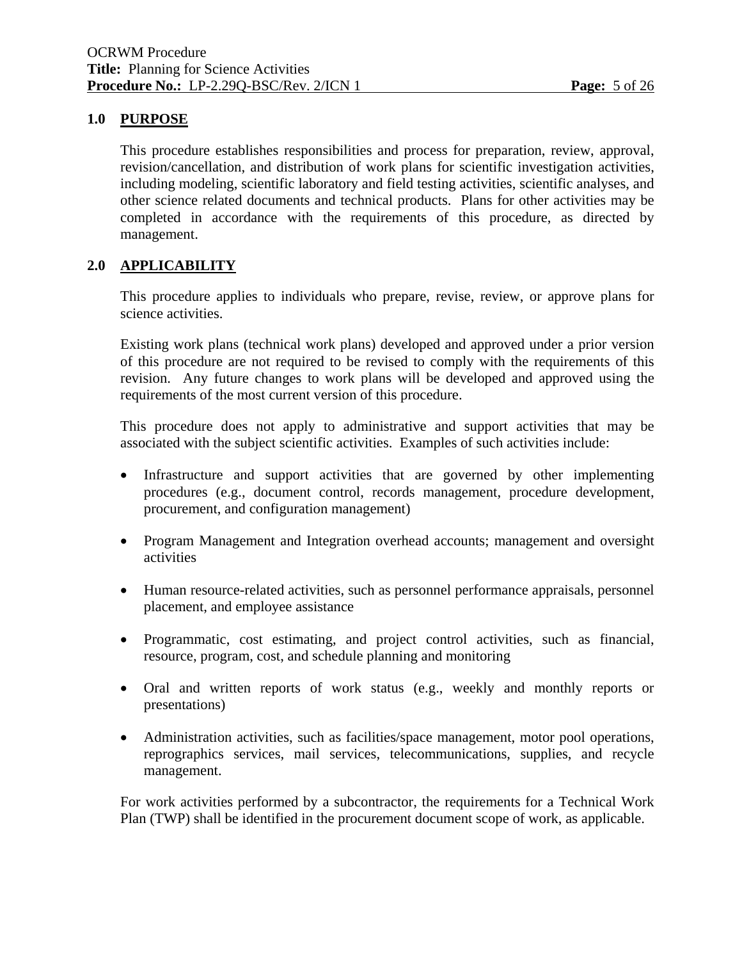# **1.0 PURPOSE**

 This procedure establishes responsibilities and process for preparation, review, approval, revision/cancellation, and distribution of work plans for scientific investigation activities, including modeling, scientific laboratory and field testing activities, scientific analyses, and other science related documents and technical products. Plans for other activities may be completed in accordance with the requirements of this procedure, as directed by management.

# **2.0 APPLICABILITY**

 This procedure applies to individuals who prepare, revise, review, or approve plans for science activities.

 Existing work plans (technical work plans) developed and approved under a prior version of this procedure are not required to be revised to comply with the requirements of this revision. Any future changes to work plans will be developed and approved using the requirements of the most current version of this procedure.

 This procedure does not apply to administrative and support activities that may be associated with the subject scientific activities. Examples of such activities include:

- Infrastructure and support activities that are governed by other implementing procedures (e.g., document control, records management, procedure development, procurement, and configuration management)
- Program Management and Integration overhead accounts; management and oversight activities
- Human resource-related activities, such as personnel performance appraisals, personnel placement, and employee assistance
- Programmatic, cost estimating, and project control activities, such as financial, resource, program, cost, and schedule planning and monitoring
- Oral and written reports of work status (e.g., weekly and monthly reports or presentations)
- Administration activities, such as facilities/space management, motor pool operations, reprographics services, mail services, telecommunications, supplies, and recycle management.

 For work activities performed by a subcontractor, the requirements for a Technical Work Plan (TWP) shall be identified in the procurement document scope of work, as applicable.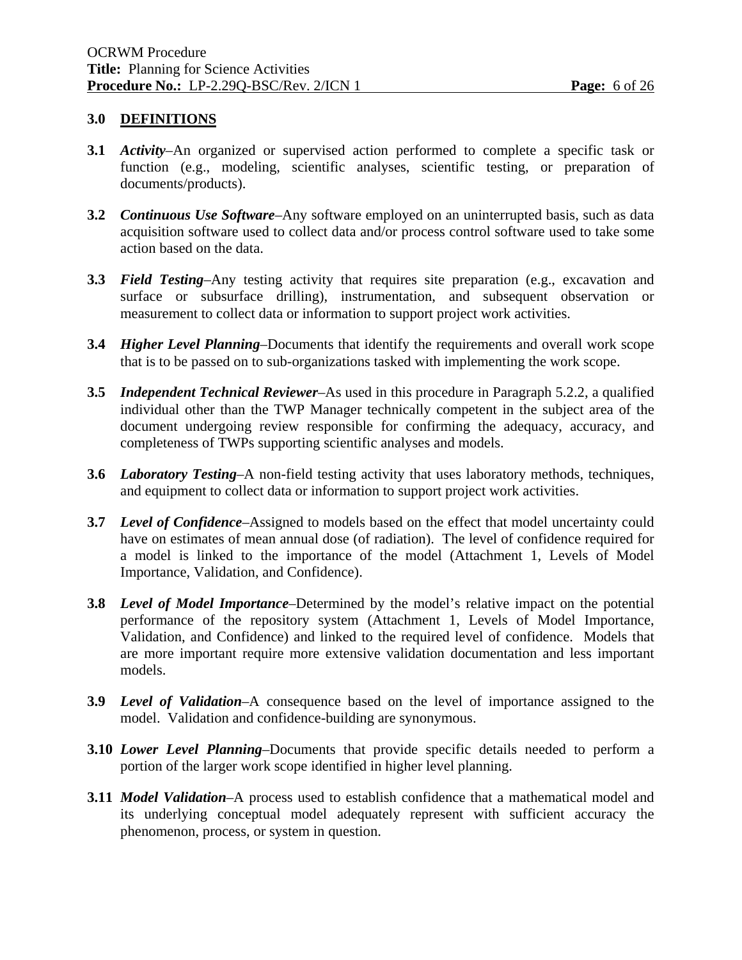### **3.0 DEFINITIONS**

- **3.1** *Activity*–An organized or supervised action performed to complete a specific task or function (e.g., modeling, scientific analyses, scientific testing, or preparation of documents/products).
- **3.2** *Continuous Use Software*–Any software employed on an uninterrupted basis, such as data acquisition software used to collect data and/or process control software used to take some action based on the data.
- **3.3** *Field Testing*–Any testing activity that requires site preparation (e.g., excavation and surface or subsurface drilling), instrumentation, and subsequent observation or measurement to collect data or information to support project work activities.
- **3.4** *Higher Level Planning*–Documents that identify the requirements and overall work scope that is to be passed on to sub-organizations tasked with implementing the work scope.
- **3.5** *Independent Technical Reviewer*–As used in this procedure in Paragraph 5.2.2, a qualified individual other than the TWP Manager technically competent in the subject area of the document undergoing review responsible for confirming the adequacy, accuracy, and completeness of TWPs supporting scientific analyses and models.
- **3.6** *Laboratory Testing*–A non-field testing activity that uses laboratory methods, techniques, and equipment to collect data or information to support project work activities.
- **3.7** *Level of Confidence*–Assigned to models based on the effect that model uncertainty could have on estimates of mean annual dose (of radiation). The level of confidence required for a model is linked to the importance of the model (Attachment 1, Levels of Model Importance, Validation, and Confidence).
- **3.8** *Level of Model Importance*–Determined by the model's relative impact on the potential performance of the repository system (Attachment 1, Levels of Model Importance, Validation, and Confidence) and linked to the required level of confidence. Models that are more important require more extensive validation documentation and less important models.
- **3.9** *Level of Validation*–A consequence based on the level of importance assigned to the model. Validation and confidence-building are synonymous.
- **3.10** *Lower Level Planning*–Documents that provide specific details needed to perform a portion of the larger work scope identified in higher level planning.
- **3.11** *Model Validation*–A process used to establish confidence that a mathematical model and its underlying conceptual model adequately represent with sufficient accuracy the phenomenon, process, or system in question.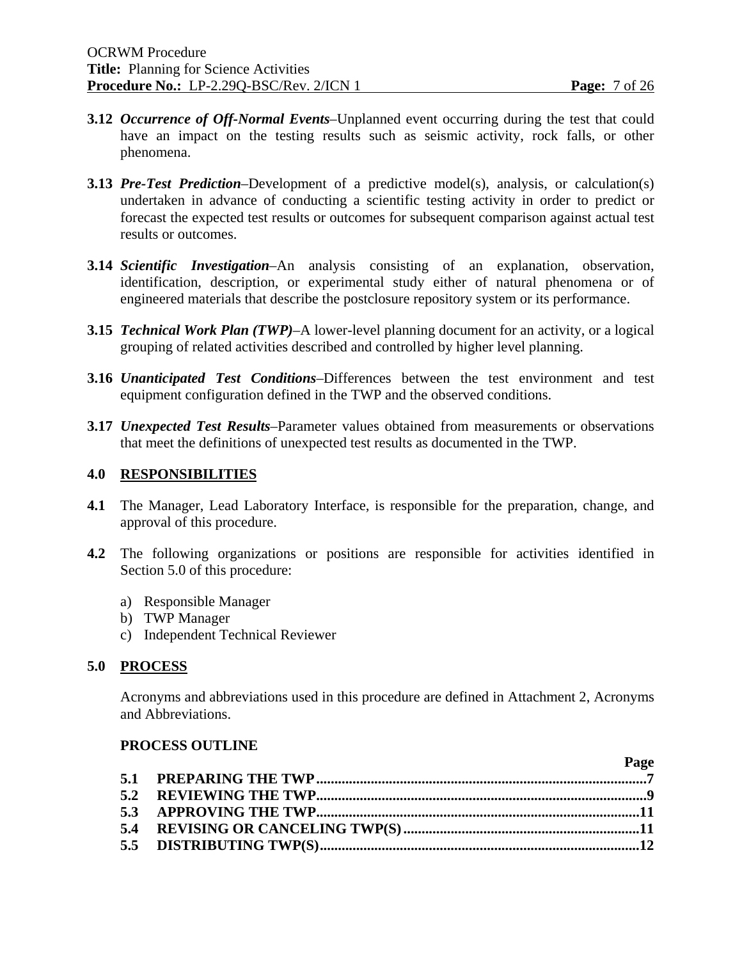$\mathbf{p}_{\alpha}$ 

- **3.12** *Occurrence of Off-Normal Events*–Unplanned event occurring during the test that could have an impact on the testing results such as seismic activity, rock falls, or other phenomena.
- **3.13** *Pre-Test Prediction*–Development of a predictive model(s), analysis, or calculation(s) undertaken in advance of conducting a scientific testing activity in order to predict or forecast the expected test results or outcomes for subsequent comparison against actual test results or outcomes.
- **3.14** *Scientific Investigation*–An analysis consisting of an explanation, observation, identification, description, or experimental study either of natural phenomena or of engineered materials that describe the postclosure repository system or its performance.
- **3.15** *Technical Work Plan (TWP)*–A lower-level planning document for an activity, or a logical grouping of related activities described and controlled by higher level planning.
- **3.16** *Unanticipated Test Conditions*–Differences between the test environment and test equipment configuration defined in the TWP and the observed conditions.
- **3.17** *Unexpected Test Results*–Parameter values obtained from measurements or observations that meet the definitions of unexpected test results as documented in the TWP.

#### **4.0 RESPONSIBILITIES**

- **4.1** The Manager, Lead Laboratory Interface, is responsible for the preparation, change, and approval of this procedure.
- **4.2** The following organizations or positions are responsible for activities identified in Section 5.0 of this procedure:
	- a) Responsible Manager
	- b) TWP Manager
	- c) Independent Technical Reviewer

#### **5.0 PROCESS**

 Acronyms and abbreviations used in this procedure are defined in Attachment 2, Acronyms and Abbreviations.

#### **PROCESS OUTLINE**

| rage |
|------|
|      |
|      |
|      |
|      |
|      |
|      |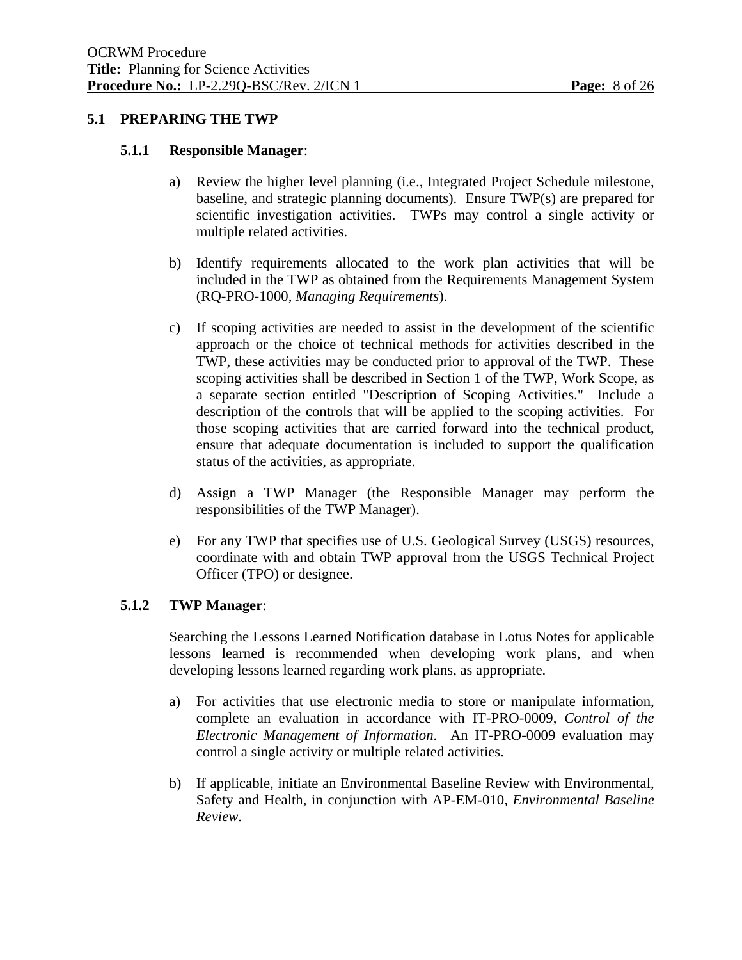#### **5.1 PREPARING THE TWP**

#### **5.1.1 Responsible Manager**:

- a) Review the higher level planning (i.e., Integrated Project Schedule milestone, baseline, and strategic planning documents). Ensure TWP(s) are prepared for scientific investigation activities. TWPs may control a single activity or multiple related activities.
- b) Identify requirements allocated to the work plan activities that will be included in the TWP as obtained from the Requirements Management System (RQ-PRO-1000, *Managing Requirements*).
- c) If scoping activities are needed to assist in the development of the scientific approach or the choice of technical methods for activities described in the TWP, these activities may be conducted prior to approval of the TWP. These scoping activities shall be described in Section 1 of the TWP, Work Scope, as a separate section entitled "Description of Scoping Activities." Include a description of the controls that will be applied to the scoping activities. For those scoping activities that are carried forward into the technical product, ensure that adequate documentation is included to support the qualification status of the activities, as appropriate.
- d) Assign a TWP Manager (the Responsible Manager may perform the responsibilities of the TWP Manager).
- e) For any TWP that specifies use of U.S. Geological Survey (USGS) resources, coordinate with and obtain TWP approval from the USGS Technical Project Officer (TPO) or designee.

#### **5.1.2 TWP Manager**:

 Searching the Lessons Learned Notification database in Lotus Notes for applicable lessons learned is recommended when developing work plans, and when developing lessons learned regarding work plans, as appropriate.

- a) For activities that use electronic media to store or manipulate information, complete an evaluation in accordance with IT-PRO-0009, *Control of the Electronic Management of Information*. An IT-PRO-0009 evaluation may control a single activity or multiple related activities.
- b) If applicable, initiate an Environmental Baseline Review with Environmental, Safety and Health, in conjunction with AP-EM-010, *Environmental Baseline Review*.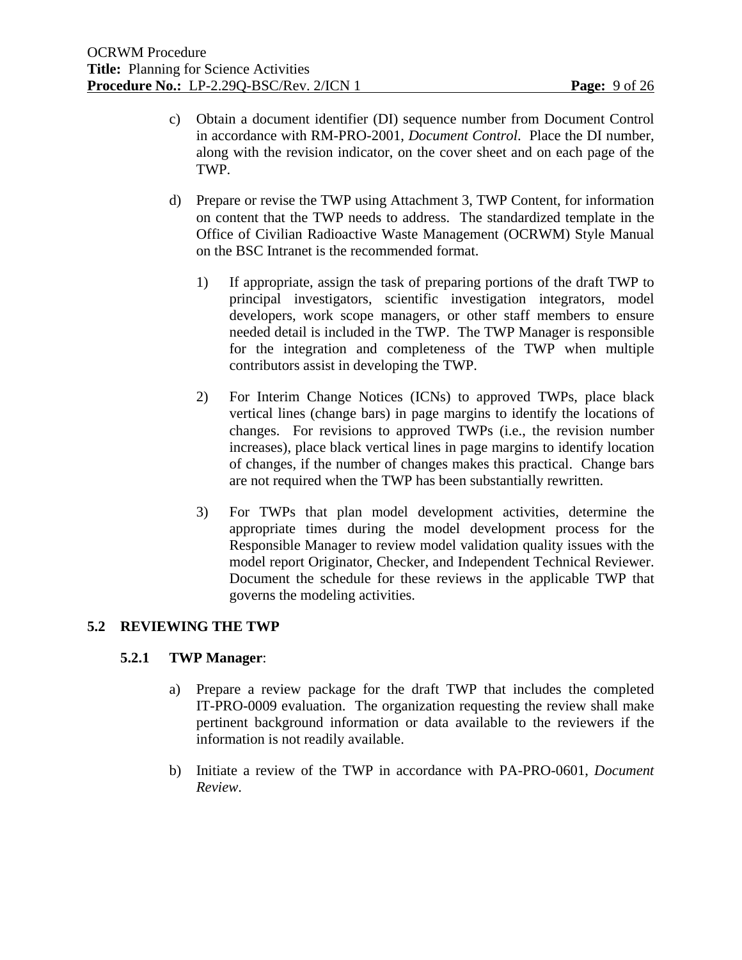- c) Obtain a document identifier (DI) sequence number from Document Control in accordance with RM-PRO-2001, *Document Control*. Place the DI number, along with the revision indicator, on the cover sheet and on each page of the TWP.
- d) Prepare or revise the TWP using Attachment 3, TWP Content, for information on content that the TWP needs to address. The standardized template in the Office of Civilian Radioactive Waste Management (OCRWM) Style Manual on the BSC Intranet is the recommended format.
	- 1) If appropriate, assign the task of preparing portions of the draft TWP to principal investigators, scientific investigation integrators, model developers, work scope managers, or other staff members to ensure needed detail is included in the TWP. The TWP Manager is responsible for the integration and completeness of the TWP when multiple contributors assist in developing the TWP.
	- 2) For Interim Change Notices (ICNs) to approved TWPs, place black vertical lines (change bars) in page margins to identify the locations of changes. For revisions to approved TWPs (i.e., the revision number increases), place black vertical lines in page margins to identify location of changes, if the number of changes makes this practical. Change bars are not required when the TWP has been substantially rewritten.
	- 3) For TWPs that plan model development activities, determine the appropriate times during the model development process for the Responsible Manager to review model validation quality issues with the model report Originator, Checker, and Independent Technical Reviewer. Document the schedule for these reviews in the applicable TWP that governs the modeling activities.

# **5.2 REVIEWING THE TWP**

#### **5.2.1 TWP Manager**:

- a) Prepare a review package for the draft TWP that includes the completed IT-PRO-0009 evaluation. The organization requesting the review shall make pertinent background information or data available to the reviewers if the information is not readily available.
- b) Initiate a review of the TWP in accordance with PA-PRO-0601, *Document Review*.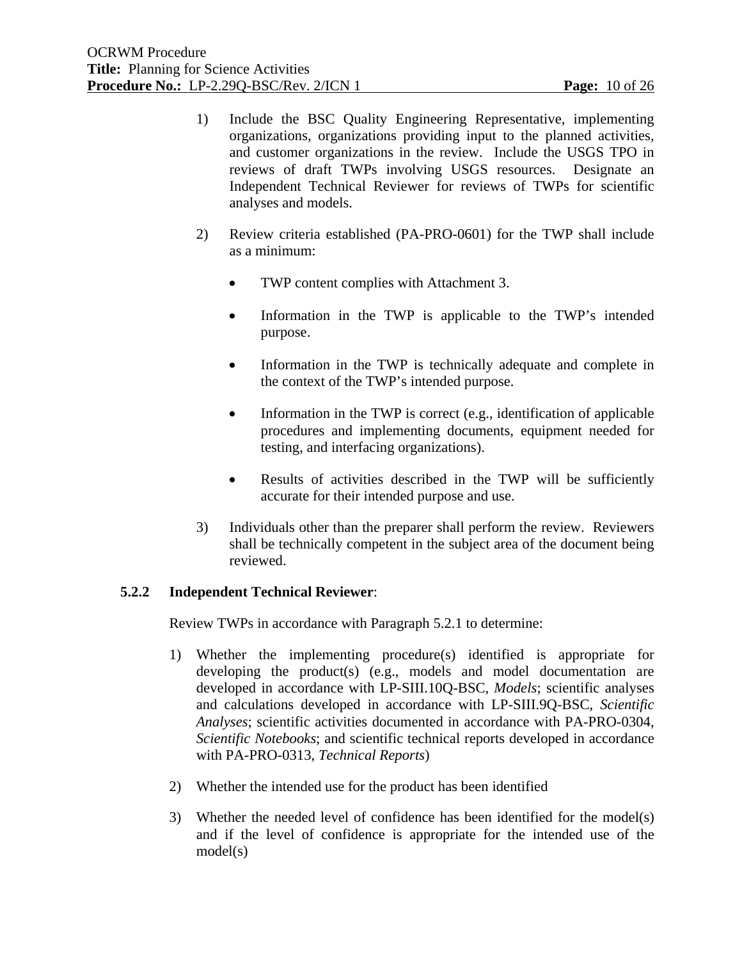- 1) Include the BSC Quality Engineering Representative, implementing organizations, organizations providing input to the planned activities, and customer organizations in the review. Include the USGS TPO in reviews of draft TWPs involving USGS resources. Designate an Independent Technical Reviewer for reviews of TWPs for scientific analyses and models.
- 2) Review criteria established (PA-PRO-0601) for the TWP shall include as a minimum:
	- TWP content complies with Attachment 3.
	- Information in the TWP is applicable to the TWP's intended purpose.
	- Information in the TWP is technically adequate and complete in the context of the TWP's intended purpose.
	- Information in the TWP is correct (e.g., identification of applicable procedures and implementing documents, equipment needed for testing, and interfacing organizations).
	- Results of activities described in the TWP will be sufficiently accurate for their intended purpose and use.
- 3) Individuals other than the preparer shall perform the review. Reviewers shall be technically competent in the subject area of the document being reviewed.

#### **5.2.2 Independent Technical Reviewer**:

Review TWPs in accordance with Paragraph 5.2.1 to determine:

- 1) Whether the implementing procedure(s) identified is appropriate for developing the product(s) (e.g., models and model documentation are developed in accordance with LP-SIII.10Q-BSC, *Models*; scientific analyses and calculations developed in accordance with LP-SIII.9Q-BSC, *Scientific Analyses*; scientific activities documented in accordance with PA-PRO-0304, *Scientific Notebooks*; and scientific technical reports developed in accordance with PA-PRO-0313, *Technical Reports*)
- 2) Whether the intended use for the product has been identified
- 3) Whether the needed level of confidence has been identified for the model(s) and if the level of confidence is appropriate for the intended use of the model(s)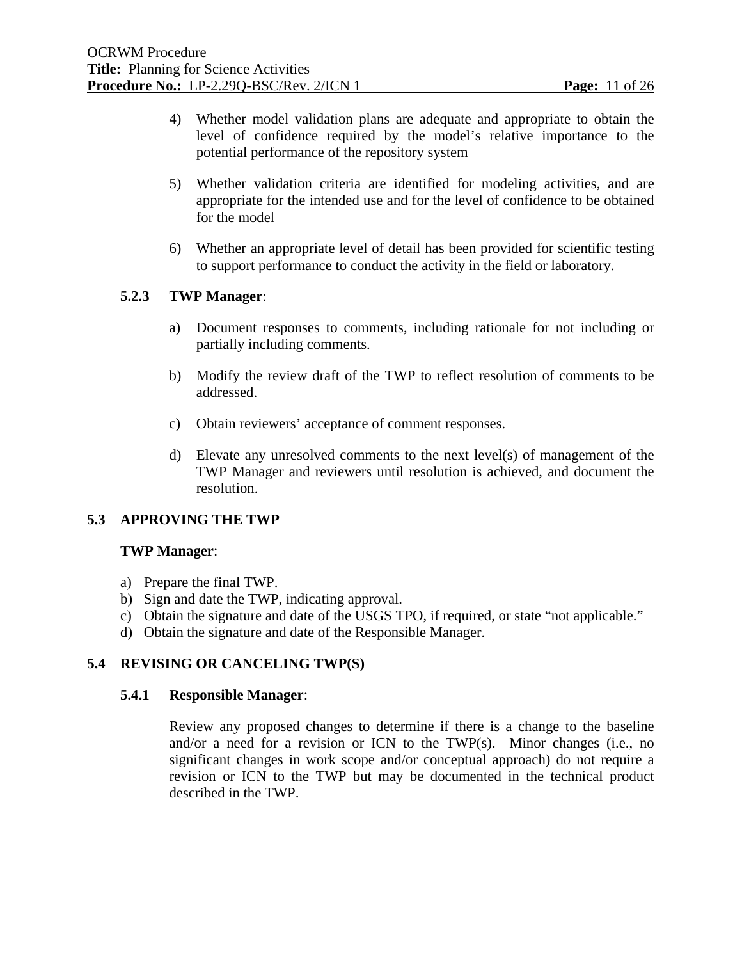- 4) Whether model validation plans are adequate and appropriate to obtain the level of confidence required by the model's relative importance to the potential performance of the repository system
- 5) Whether validation criteria are identified for modeling activities, and are appropriate for the intended use and for the level of confidence to be obtained for the model
- 6) Whether an appropriate level of detail has been provided for scientific testing to support performance to conduct the activity in the field or laboratory.

# **5.2.3 TWP Manager**:

- a) Document responses to comments, including rationale for not including or partially including comments.
- b) Modify the review draft of the TWP to reflect resolution of comments to be addressed.
- c) Obtain reviewers' acceptance of comment responses.
- d) Elevate any unresolved comments to the next level(s) of management of the TWP Manager and reviewers until resolution is achieved, and document the resolution.

# **5.3 APPROVING THE TWP**

#### **TWP Manager**:

- a) Prepare the final TWP.
- b) Sign and date the TWP, indicating approval.
- c) Obtain the signature and date of the USGS TPO, if required, or state "not applicable."
- d) Obtain the signature and date of the Responsible Manager.

# **5.4 REVISING OR CANCELING TWP(S)**

#### **5.4.1 Responsible Manager**:

 Review any proposed changes to determine if there is a change to the baseline and/or a need for a revision or ICN to the TWP(s). Minor changes (i.e., no significant changes in work scope and/or conceptual approach) do not require a revision or ICN to the TWP but may be documented in the technical product described in the TWP.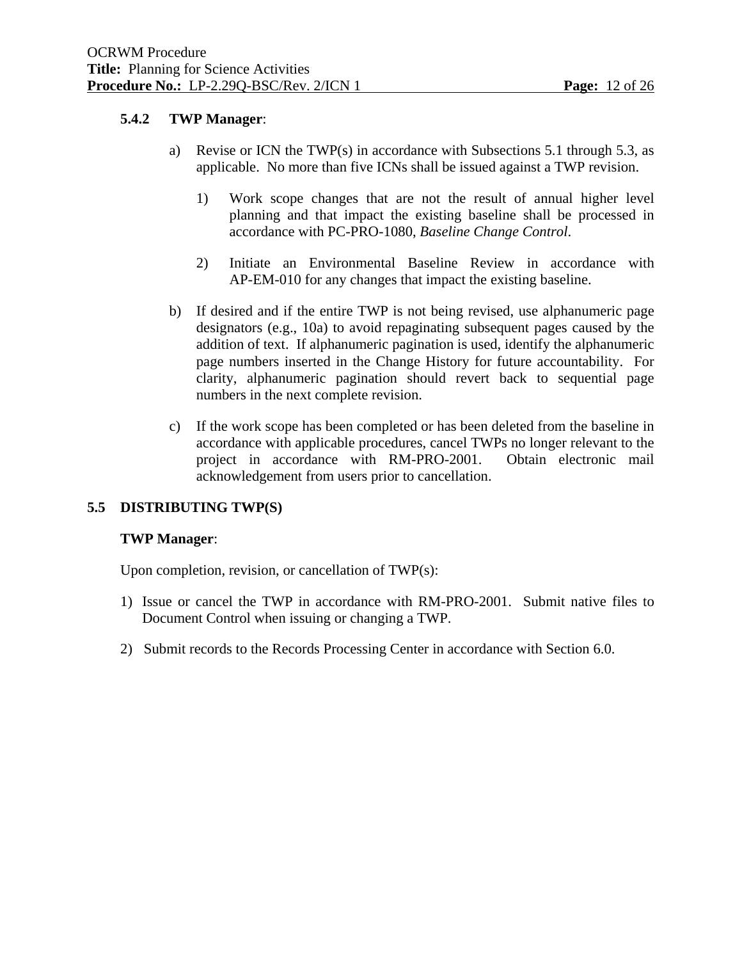# **5.4.2 TWP Manager**:

- a) Revise or ICN the TWP(s) in accordance with Subsections 5.1 through 5.3, as applicable. No more than five ICNs shall be issued against a TWP revision.
	- 1) Work scope changes that are not the result of annual higher level planning and that impact the existing baseline shall be processed in accordance with PC-PRO-1080, *Baseline Change Control*.
	- 2) Initiate an Environmental Baseline Review in accordance with AP-EM-010 for any changes that impact the existing baseline.
- b) If desired and if the entire TWP is not being revised, use alphanumeric page designators (e.g., 10a) to avoid repaginating subsequent pages caused by the addition of text. If alphanumeric pagination is used, identify the alphanumeric page numbers inserted in the Change History for future accountability. For clarity, alphanumeric pagination should revert back to sequential page numbers in the next complete revision.
- c) If the work scope has been completed or has been deleted from the baseline in accordance with applicable procedures, cancel TWPs no longer relevant to the project in accordance with RM-PRO-2001. Obtain electronic mail acknowledgement from users prior to cancellation.

# **5.5 DISTRIBUTING TWP(S)**

#### **TWP Manager**:

Upon completion, revision, or cancellation of TWP(s):

- 1) Issue or cancel the TWP in accordance with RM-PRO-2001. Submit native files to Document Control when issuing or changing a TWP.
- 2) Submit records to the Records Processing Center in accordance with Section 6.0.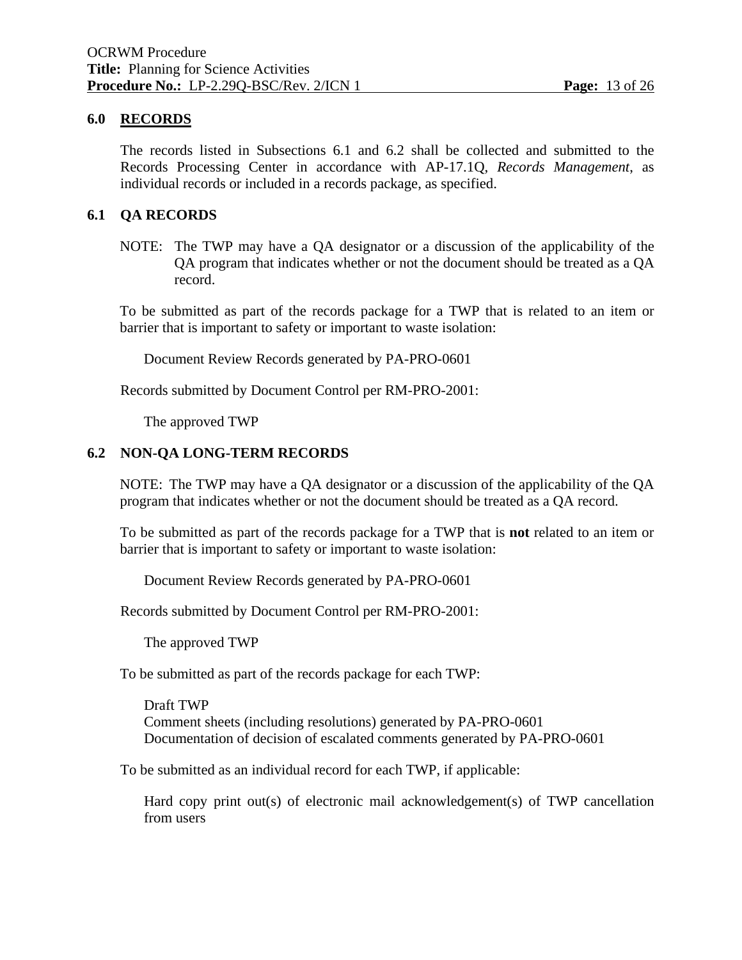#### **6.0 RECORDS**

 The records listed in Subsections 6.1 and 6.2 shall be collected and submitted to the Records Processing Center in accordance with AP-17.1Q, *Records Management*, as individual records or included in a records package, as specified.

#### **6.1 QA RECORDS**

NOTE: The TWP may have a QA designator or a discussion of the applicability of the QA program that indicates whether or not the document should be treated as a QA record.

To be submitted as part of the records package for a TWP that is related to an item or barrier that is important to safety or important to waste isolation:

Document Review Records generated by PA-PRO-0601

Records submitted by Document Control per RM-PRO-2001:

The approved TWP

#### **6.2 NON-QA LONG-TERM RECORDS**

 NOTE: The TWP may have a QA designator or a discussion of the applicability of the QA program that indicates whether or not the document should be treated as a QA record.

To be submitted as part of the records package for a TWP that is **not** related to an item or barrier that is important to safety or important to waste isolation:

Document Review Records generated by PA-PRO-0601

Records submitted by Document Control per RM-PRO-2001:

The approved TWP

To be submitted as part of the records package for each TWP:

 Draft TWP Comment sheets (including resolutions) generated by PA-PRO-0601 Documentation of decision of escalated comments generated by PA-PRO-0601

To be submitted as an individual record for each TWP, if applicable:

 Hard copy print out(s) of electronic mail acknowledgement(s) of TWP cancellation from users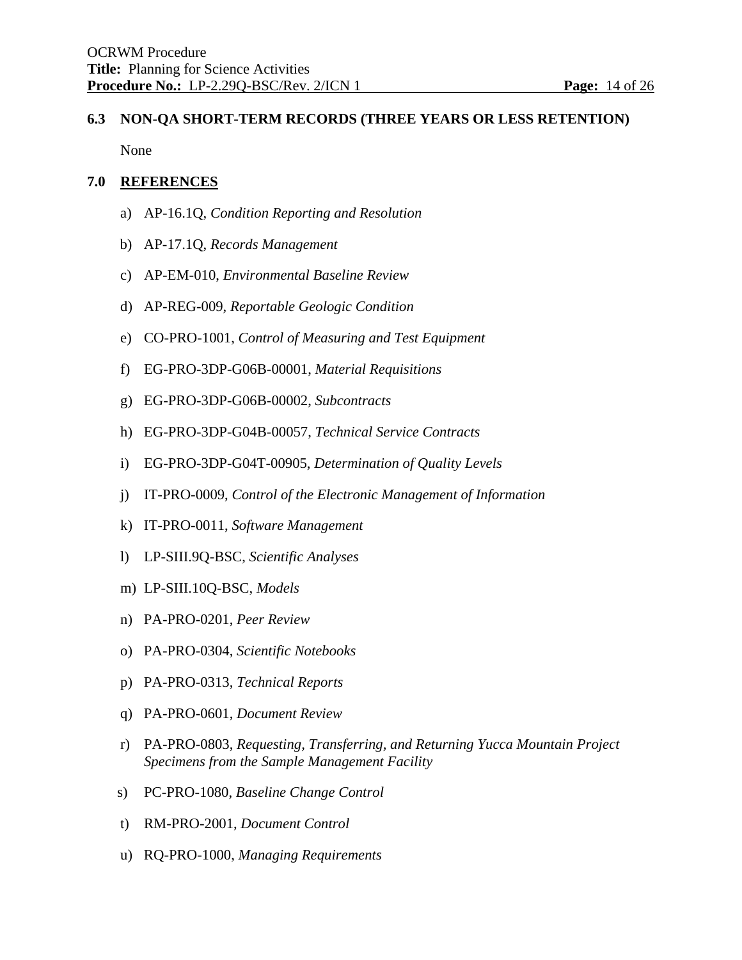# **6.3 NON-QA SHORT-TERM RECORDS (THREE YEARS OR LESS RETENTION)**

None

# **7.0 REFERENCES**

- a) AP-16.1Q, *Condition Reporting and Resolution*
- b) AP-17.1Q, *Records Management*
- c) AP-EM-010, *Environmental Baseline Review*
- d) AP-REG-009, *Reportable Geologic Condition*
- e) CO-PRO-1001, *Control of Measuring and Test Equipment*
- f) EG-PRO-3DP-G06B-00001, *Material Requisitions*
- g) EG-PRO-3DP-G06B-00002, *Subcontracts*
- h) EG-PRO-3DP-G04B-00057, *Technical Service Contracts*
- i) EG-PRO-3DP-G04T-00905, *Determination of Quality Levels*
- j) IT-PRO-0009, *Control of the Electronic Management of Information*
- k) IT-PRO-0011, *Software Management*
- l) LP-SIII.9Q-BSC, *Scientific Analyses*
- m) LP-SIII.10Q-BSC, *Models*
- n) PA-PRO-0201, *Peer Review*
- o) PA-PRO-0304, *Scientific Notebooks*
- p) PA-PRO-0313, *Technical Reports*
- q) PA-PRO-0601, *Document Review*
- r) PA-PRO-0803, *Requesting, Transferring, and Returning Yucca Mountain Project Specimens from the Sample Management Facility*
- s) PC-PRO-1080, *Baseline Change Control*
- t) RM-PRO-2001, *Document Control*
- u) RQ-PRO-1000, *Managing Requirements*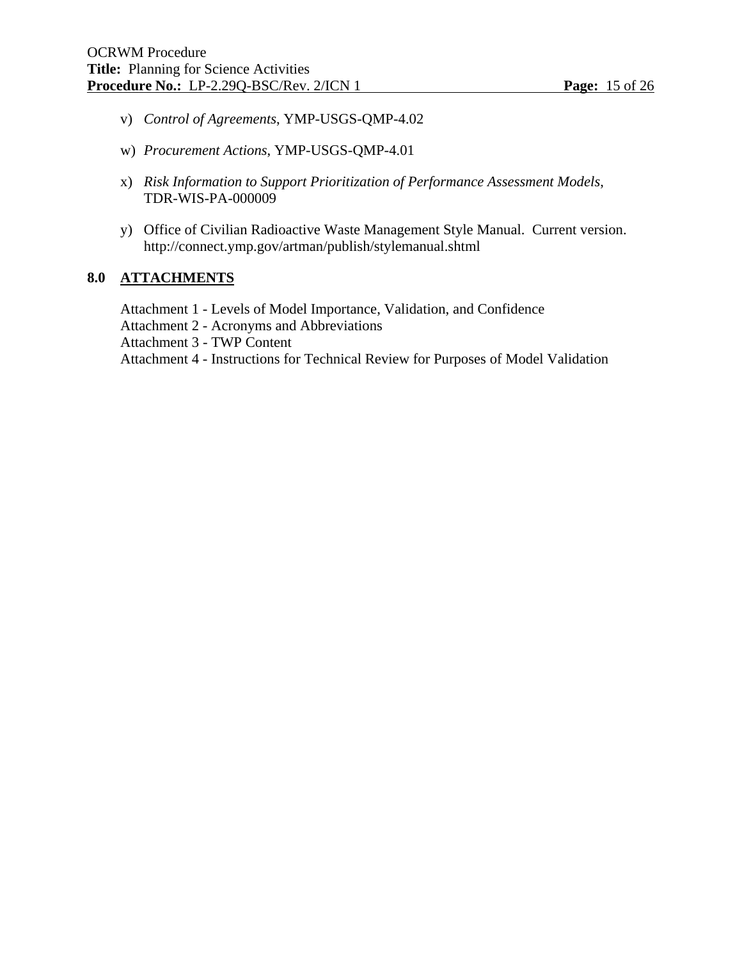- v) *Control of Agreements*, YMP-USGS-QMP-4.02
- w) *Procurement Actions*, YMP-USGS-QMP-4.01
- x) *Risk Information to Support Prioritization of Performance Assessment Models*, TDR-WIS-PA-000009
- y) Office of Civilian Radioactive Waste Management Style Manual. Current version. http://connect.ymp.gov/artman/publish/stylemanual.shtml

#### **8.0 ATTACHMENTS**

 Attachment 1 - Levels of Model Importance, Validation, and Confidence Attachment 2 - Acronyms and Abbreviations Attachment 3 - TWP Content Attachment 4 - Instructions for Technical Review for Purposes of Model Validation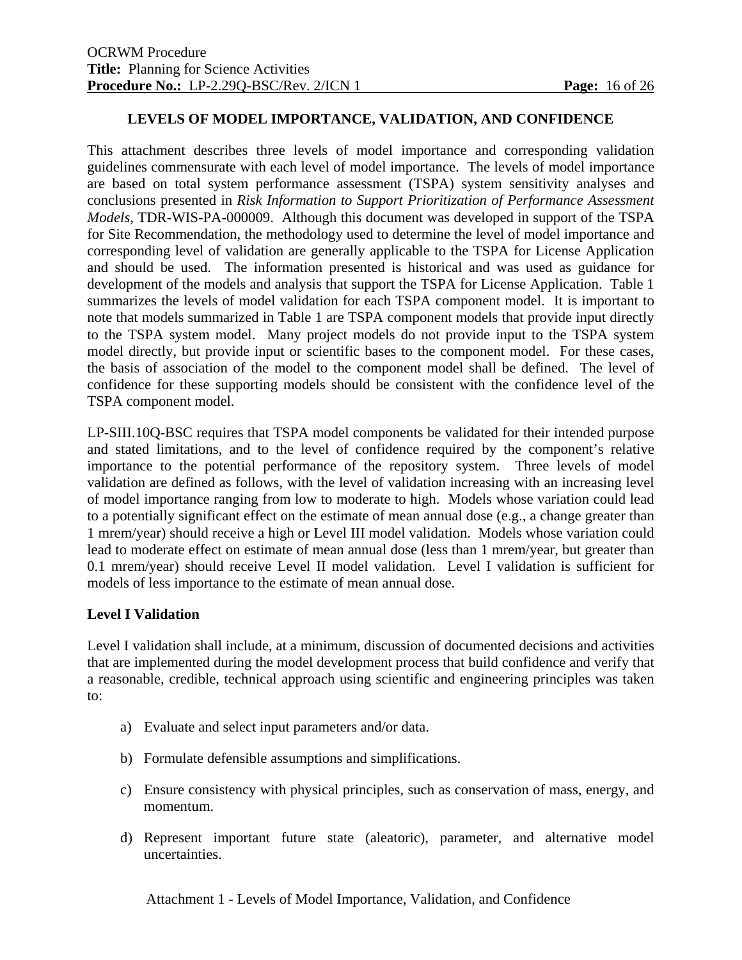#### **LEVELS OF MODEL IMPORTANCE, VALIDATION, AND CONFIDENCE**

This attachment describes three levels of model importance and corresponding validation guidelines commensurate with each level of model importance. The levels of model importance are based on total system performance assessment (TSPA) system sensitivity analyses and conclusions presented in *Risk Information to Support Prioritization of Performance Assessment Models*, TDR-WIS-PA-000009. Although this document was developed in support of the TSPA for Site Recommendation, the methodology used to determine the level of model importance and corresponding level of validation are generally applicable to the TSPA for License Application and should be used. The information presented is historical and was used as guidance for development of the models and analysis that support the TSPA for License Application. Table 1 summarizes the levels of model validation for each TSPA component model. It is important to note that models summarized in Table 1 are TSPA component models that provide input directly to the TSPA system model. Many project models do not provide input to the TSPA system model directly, but provide input or scientific bases to the component model. For these cases, the basis of association of the model to the component model shall be defined. The level of confidence for these supporting models should be consistent with the confidence level of the TSPA component model.

LP-SIII.10Q-BSC requires that TSPA model components be validated for their intended purpose and stated limitations, and to the level of confidence required by the component's relative importance to the potential performance of the repository system. Three levels of model validation are defined as follows, with the level of validation increasing with an increasing level of model importance ranging from low to moderate to high. Models whose variation could lead to a potentially significant effect on the estimate of mean annual dose (e.g., a change greater than 1 mrem/year) should receive a high or Level III model validation. Models whose variation could lead to moderate effect on estimate of mean annual dose (less than 1 mrem/year, but greater than 0.1 mrem/year) should receive Level II model validation. Level I validation is sufficient for models of less importance to the estimate of mean annual dose.

#### **Level I Validation**

Level I validation shall include, at a minimum, discussion of documented decisions and activities that are implemented during the model development process that build confidence and verify that a reasonable, credible, technical approach using scientific and engineering principles was taken to:

- a) Evaluate and select input parameters and/or data.
- b) Formulate defensible assumptions and simplifications.
- c) Ensure consistency with physical principles, such as conservation of mass, energy, and momentum.
- d) Represent important future state (aleatoric), parameter, and alternative model uncertainties.

Attachment 1 - Levels of Model Importance, Validation, and Confidence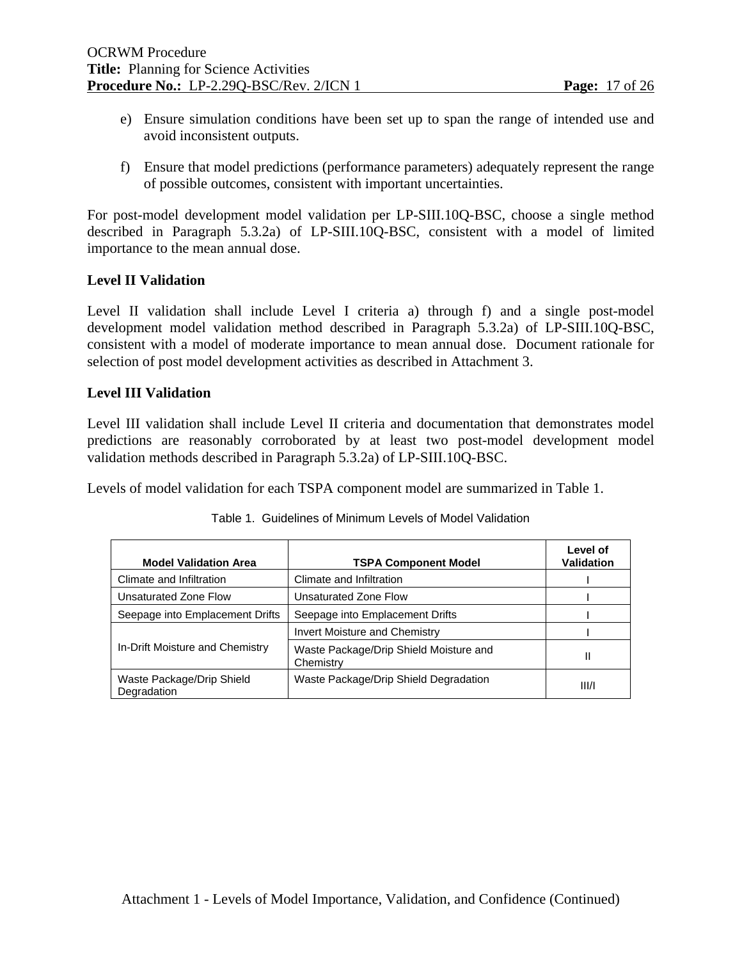- e) Ensure simulation conditions have been set up to span the range of intended use and avoid inconsistent outputs.
- f) Ensure that model predictions (performance parameters) adequately represent the range of possible outcomes, consistent with important uncertainties.

For post-model development model validation per LP-SIII.10Q-BSC, choose a single method described in Paragraph 5.3.2a) of LP-SIII.10Q-BSC, consistent with a model of limited importance to the mean annual dose.

# **Level II Validation**

Level II validation shall include Level I criteria a) through f) and a single post-model development model validation method described in Paragraph 5.3.2a) of LP-SIII.10Q-BSC, consistent with a model of moderate importance to mean annual dose. Document rationale for selection of post model development activities as described in Attachment 3.

# **Level III Validation**

Level III validation shall include Level II criteria and documentation that demonstrates model predictions are reasonably corroborated by at least two post-model development model validation methods described in Paragraph 5.3.2a) of LP-SIII.10Q-BSC.

Levels of model validation for each TSPA component model are summarized in Table 1.

| <b>Model Validation Area</b>             | <b>TSPA Component Model</b>                         | Level of<br><b>Validation</b> |
|------------------------------------------|-----------------------------------------------------|-------------------------------|
| Climate and Infiltration                 | Climate and Infiltration                            |                               |
| Unsaturated Zone Flow                    | Unsaturated Zone Flow                               |                               |
| Seepage into Emplacement Drifts          | Seepage into Emplacement Drifts                     |                               |
|                                          | <b>Invert Moisture and Chemistry</b>                |                               |
| In-Drift Moisture and Chemistry          | Waste Package/Drip Shield Moisture and<br>Chemistry | Ш                             |
| Waste Package/Drip Shield<br>Degradation | Waste Package/Drip Shield Degradation               | III/1                         |

|  | Table 1. Guidelines of Minimum Levels of Model Validation |
|--|-----------------------------------------------------------|
|--|-----------------------------------------------------------|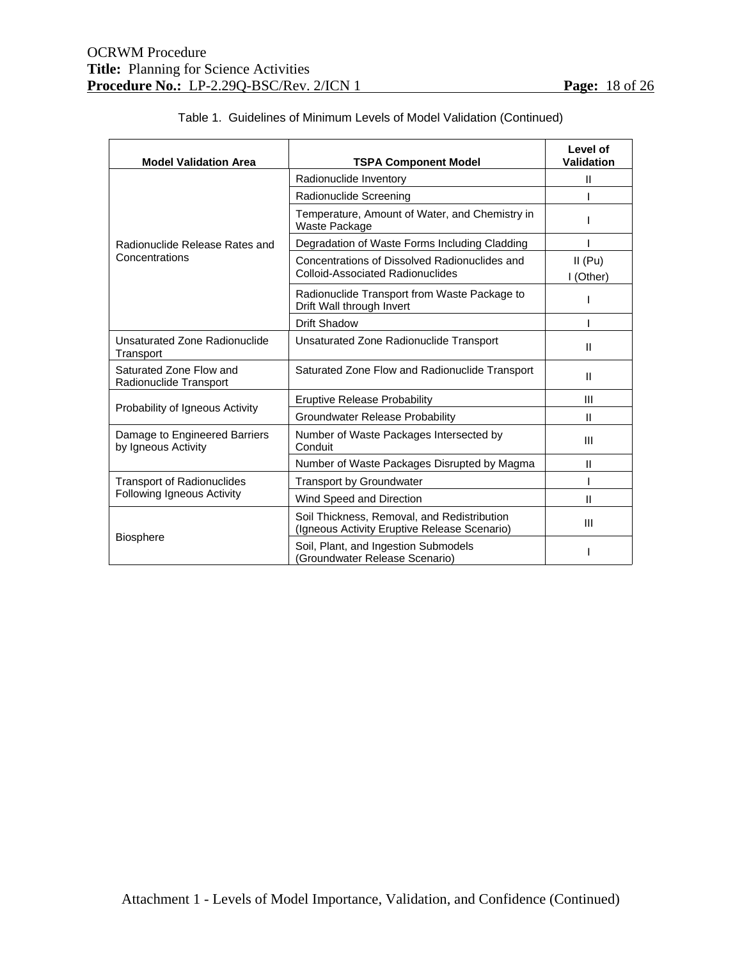| <b>Model Validation Area</b>                         | <b>TSPA Component Model</b>                                                                 | Level of<br>Validation |
|------------------------------------------------------|---------------------------------------------------------------------------------------------|------------------------|
|                                                      | Radionuclide Inventory                                                                      | $\mathbf{H}$           |
|                                                      | Radionuclide Screening                                                                      |                        |
|                                                      | Temperature, Amount of Water, and Chemistry in<br>Waste Package                             |                        |
| Radionuclide Release Rates and                       | Degradation of Waste Forms Including Cladding                                               |                        |
| Concentrations                                       | Concentrations of Dissolved Radionuclides and                                               | $II$ (Pu)              |
|                                                      | <b>Colloid-Associated Radionuclides</b>                                                     | I (Other)              |
|                                                      | Radionuclide Transport from Waste Package to<br>Drift Wall through Invert                   |                        |
|                                                      | Drift Shadow                                                                                |                        |
| Unsaturated Zone Radionuclide<br>Transport           | Unsaturated Zone Radionuclide Transport                                                     | Ш                      |
| Saturated Zone Flow and<br>Radionuclide Transport    | Saturated Zone Flow and Radionuclide Transport                                              | Ш                      |
|                                                      | <b>Eruptive Release Probability</b>                                                         | Ш                      |
| Probability of Igneous Activity                      | Groundwater Release Probability                                                             | Ш                      |
| Damage to Engineered Barriers<br>by Igneous Activity | Number of Waste Packages Intersected by<br>Conduit                                          | Ш                      |
|                                                      | Number of Waste Packages Disrupted by Magma                                                 | Ш                      |
| <b>Transport of Radionuclides</b>                    | <b>Transport by Groundwater</b>                                                             |                        |
| <b>Following Igneous Activity</b>                    | Wind Speed and Direction                                                                    | Ш                      |
|                                                      | Soil Thickness, Removal, and Redistribution<br>(Igneous Activity Eruptive Release Scenario) | Ш                      |
| <b>Biosphere</b>                                     | Soil, Plant, and Ingestion Submodels<br>(Groundwater Release Scenario)                      |                        |

# Table 1. Guidelines of Minimum Levels of Model Validation (Continued)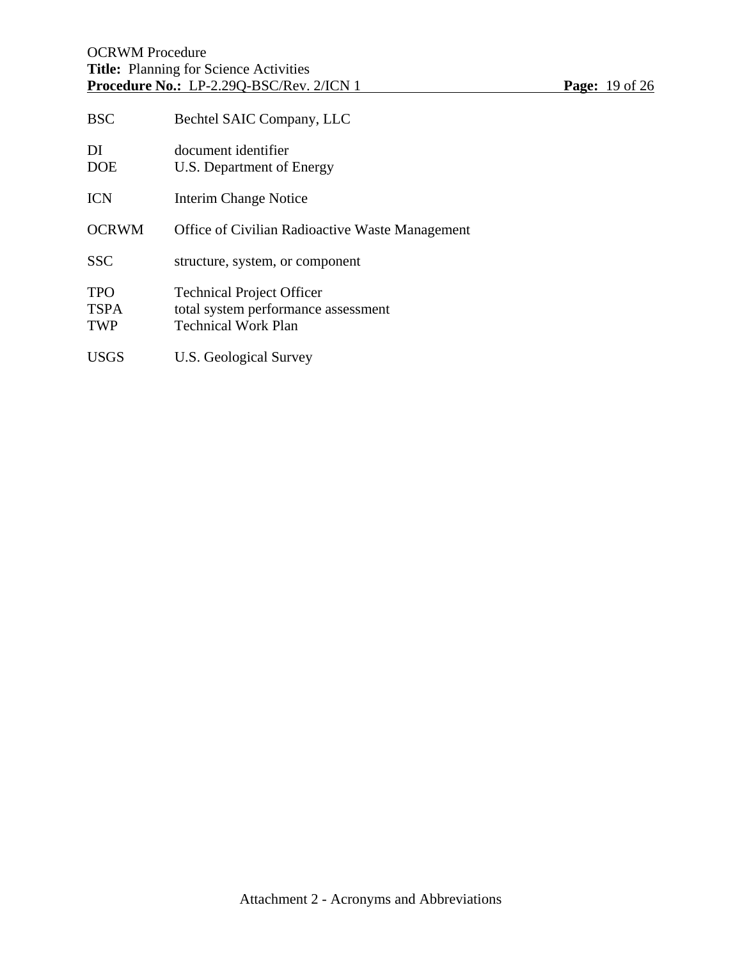| <b>BSC</b>                              | Bechtel SAIC Company, LLC                                                                             |
|-----------------------------------------|-------------------------------------------------------------------------------------------------------|
| DI<br><b>DOE</b>                        | document identifier<br>U.S. Department of Energy                                                      |
| <b>ICN</b>                              | Interim Change Notice                                                                                 |
| <b>OCRWM</b>                            | Office of Civilian Radioactive Waste Management                                                       |
| <b>SSC</b>                              | structure, system, or component                                                                       |
| <b>TPO</b><br><b>TSPA</b><br><b>TWP</b> | <b>Technical Project Officer</b><br>total system performance assessment<br><b>Technical Work Plan</b> |
| <b>USGS</b>                             | U.S. Geological Survey                                                                                |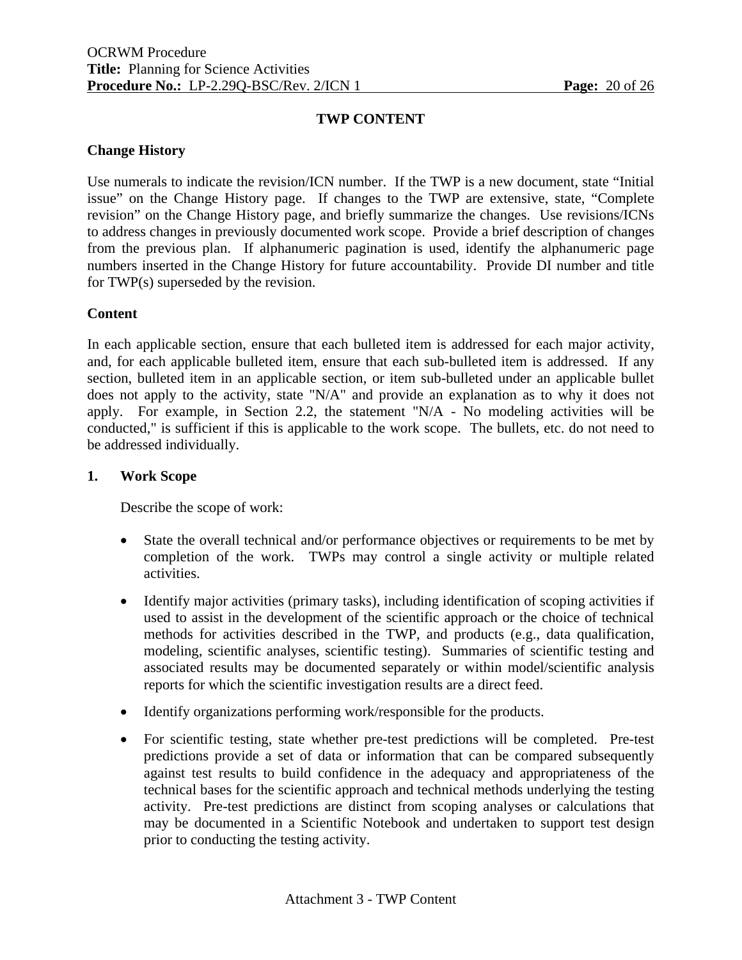# **TWP CONTENT**

#### **Change History**

Use numerals to indicate the revision/ICN number. If the TWP is a new document, state "Initial issue" on the Change History page. If changes to the TWP are extensive, state, "Complete revision" on the Change History page, and briefly summarize the changes. Use revisions/ICNs to address changes in previously documented work scope. Provide a brief description of changes from the previous plan. If alphanumeric pagination is used, identify the alphanumeric page numbers inserted in the Change History for future accountability. Provide DI number and title for TWP(s) superseded by the revision.

#### **Content**

In each applicable section, ensure that each bulleted item is addressed for each major activity, and, for each applicable bulleted item, ensure that each sub-bulleted item is addressed. If any section, bulleted item in an applicable section, or item sub-bulleted under an applicable bullet does not apply to the activity, state "N/A" and provide an explanation as to why it does not apply. For example, in Section 2.2, the statement "N/A - No modeling activities will be conducted," is sufficient if this is applicable to the work scope. The bullets, etc. do not need to be addressed individually.

#### **1. Work Scope**

Describe the scope of work:

- State the overall technical and/or performance objectives or requirements to be met by completion of the work. TWPs may control a single activity or multiple related activities.
- Identify major activities (primary tasks), including identification of scoping activities if used to assist in the development of the scientific approach or the choice of technical methods for activities described in the TWP, and products (e.g., data qualification, modeling, scientific analyses, scientific testing). Summaries of scientific testing and associated results may be documented separately or within model/scientific analysis reports for which the scientific investigation results are a direct feed.
- Identify organizations performing work/responsible for the products.
- For scientific testing, state whether pre-test predictions will be completed. Pre-test predictions provide a set of data or information that can be compared subsequently against test results to build confidence in the adequacy and appropriateness of the technical bases for the scientific approach and technical methods underlying the testing activity. Pre-test predictions are distinct from scoping analyses or calculations that may be documented in a Scientific Notebook and undertaken to support test design prior to conducting the testing activity.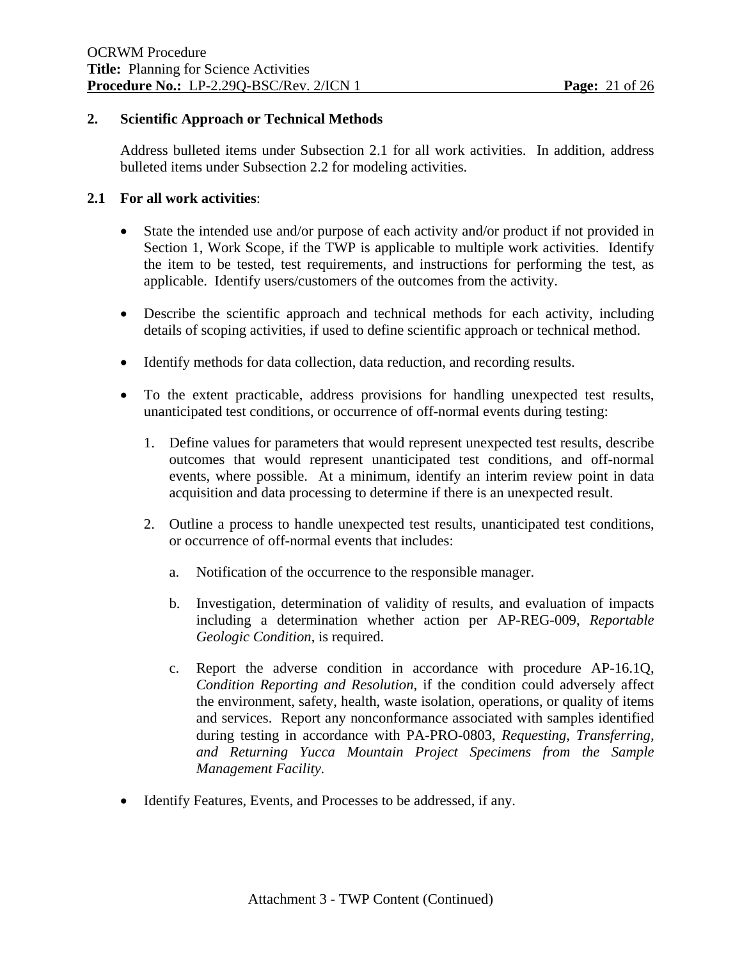### **2. Scientific Approach or Technical Methods**

 Address bulleted items under Subsection 2.1 for all work activities. In addition, address bulleted items under Subsection 2.2 for modeling activities.

# **2.1 For all work activities**:

- State the intended use and/or purpose of each activity and/or product if not provided in Section 1, Work Scope, if the TWP is applicable to multiple work activities. Identify the item to be tested, test requirements, and instructions for performing the test, as applicable. Identify users/customers of the outcomes from the activity.
- Describe the scientific approach and technical methods for each activity, including details of scoping activities, if used to define scientific approach or technical method.
- Identify methods for data collection, data reduction, and recording results.
- To the extent practicable, address provisions for handling unexpected test results, unanticipated test conditions, or occurrence of off-normal events during testing:
	- 1. Define values for parameters that would represent unexpected test results, describe outcomes that would represent unanticipated test conditions, and off-normal events, where possible. At a minimum, identify an interim review point in data acquisition and data processing to determine if there is an unexpected result.
	- 2. Outline a process to handle unexpected test results, unanticipated test conditions, or occurrence of off-normal events that includes:
		- a. Notification of the occurrence to the responsible manager.
		- b. Investigation, determination of validity of results, and evaluation of impacts including a determination whether action per AP-REG-009, *Reportable Geologic Condition*, is required.
		- c. Report the adverse condition in accordance with procedure AP-16.1Q, *Condition Reporting and Resolution*, if the condition could adversely affect the environment, safety, health, waste isolation, operations, or quality of items and services. Report any nonconformance associated with samples identified during testing in accordance with PA-PRO-0803, *Requesting, Transferring, and Returning Yucca Mountain Project Specimens from the Sample Management Facility.*
- Identify Features, Events, and Processes to be addressed, if any.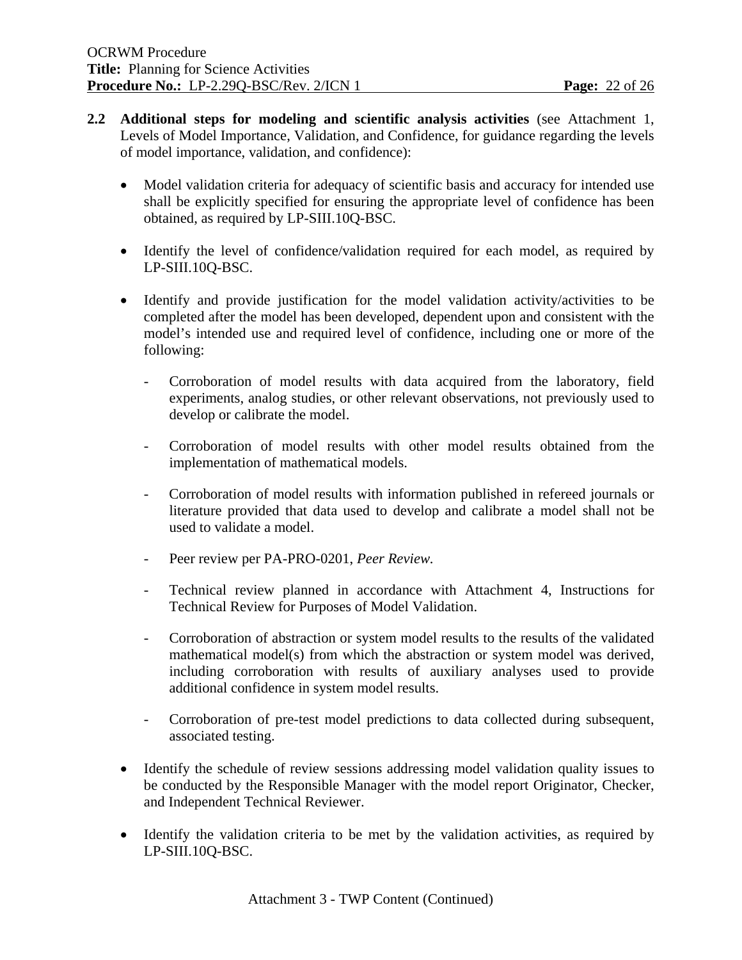- **2.2 Additional steps for modeling and scientific analysis activities** (see Attachment 1, Levels of Model Importance, Validation, and Confidence, for guidance regarding the levels of model importance, validation, and confidence):
	- Model validation criteria for adequacy of scientific basis and accuracy for intended use shall be explicitly specified for ensuring the appropriate level of confidence has been obtained, as required by LP-SIII.10Q-BSC.
	- Identify the level of confidence/validation required for each model, as required by LP-SIII.10Q-BSC.
	- Identify and provide justification for the model validation activity/activities to be completed after the model has been developed, dependent upon and consistent with the model's intended use and required level of confidence, including one or more of the following:
		- Corroboration of model results with data acquired from the laboratory, field experiments, analog studies, or other relevant observations, not previously used to develop or calibrate the model.
		- Corroboration of model results with other model results obtained from the implementation of mathematical models.
		- Corroboration of model results with information published in refereed journals or literature provided that data used to develop and calibrate a model shall not be used to validate a model.
		- Peer review per PA-PRO-0201, *Peer Review.*
		- Technical review planned in accordance with Attachment 4, Instructions for Technical Review for Purposes of Model Validation.
		- Corroboration of abstraction or system model results to the results of the validated mathematical model(s) from which the abstraction or system model was derived, including corroboration with results of auxiliary analyses used to provide additional confidence in system model results.
		- Corroboration of pre-test model predictions to data collected during subsequent, associated testing.
	- Identify the schedule of review sessions addressing model validation quality issues to be conducted by the Responsible Manager with the model report Originator, Checker, and Independent Technical Reviewer.
	- Identify the validation criteria to be met by the validation activities, as required by LP-SIII.10Q-BSC.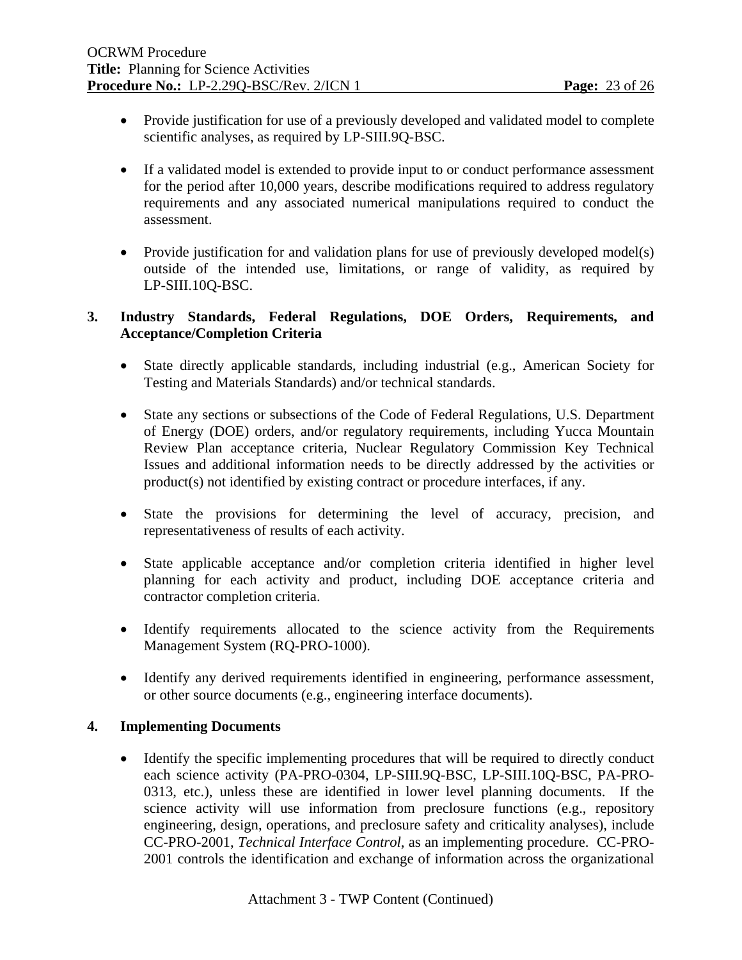- Provide justification for use of a previously developed and validated model to complete scientific analyses, as required by LP-SIII.9Q-BSC.
- If a validated model is extended to provide input to or conduct performance assessment for the period after 10,000 years, describe modifications required to address regulatory requirements and any associated numerical manipulations required to conduct the assessment.
- Provide justification for and validation plans for use of previously developed model(s) outside of the intended use, limitations, or range of validity, as required by LP-SIII.10Q-BSC.

# **3. Industry Standards, Federal Regulations, DOE Orders, Requirements, and Acceptance/Completion Criteria**

- State directly applicable standards, including industrial (e.g., American Society for Testing and Materials Standards) and/or technical standards.
- State any sections or subsections of the Code of Federal Regulations, U.S. Department of Energy (DOE) orders, and/or regulatory requirements, including Yucca Mountain Review Plan acceptance criteria, Nuclear Regulatory Commission Key Technical Issues and additional information needs to be directly addressed by the activities or product(s) not identified by existing contract or procedure interfaces, if any.
- State the provisions for determining the level of accuracy, precision, and representativeness of results of each activity.
- State applicable acceptance and/or completion criteria identified in higher level planning for each activity and product, including DOE acceptance criteria and contractor completion criteria.
- Identify requirements allocated to the science activity from the Requirements Management System (RQ-PRO-1000).
- Identify any derived requirements identified in engineering, performance assessment, or other source documents (e.g., engineering interface documents).

# **4. Implementing Documents**

• Identify the specific implementing procedures that will be required to directly conduct each science activity (PA-PRO-0304, LP-SIII.9Q-BSC, LP-SIII.10Q-BSC, PA-PRO-0313, etc.), unless these are identified in lower level planning documents. If the science activity will use information from preclosure functions (e.g., repository engineering, design, operations, and preclosure safety and criticality analyses), include CC-PRO-2001, *Technical Interface Control*, as an implementing procedure. CC-PRO-2001 controls the identification and exchange of information across the organizational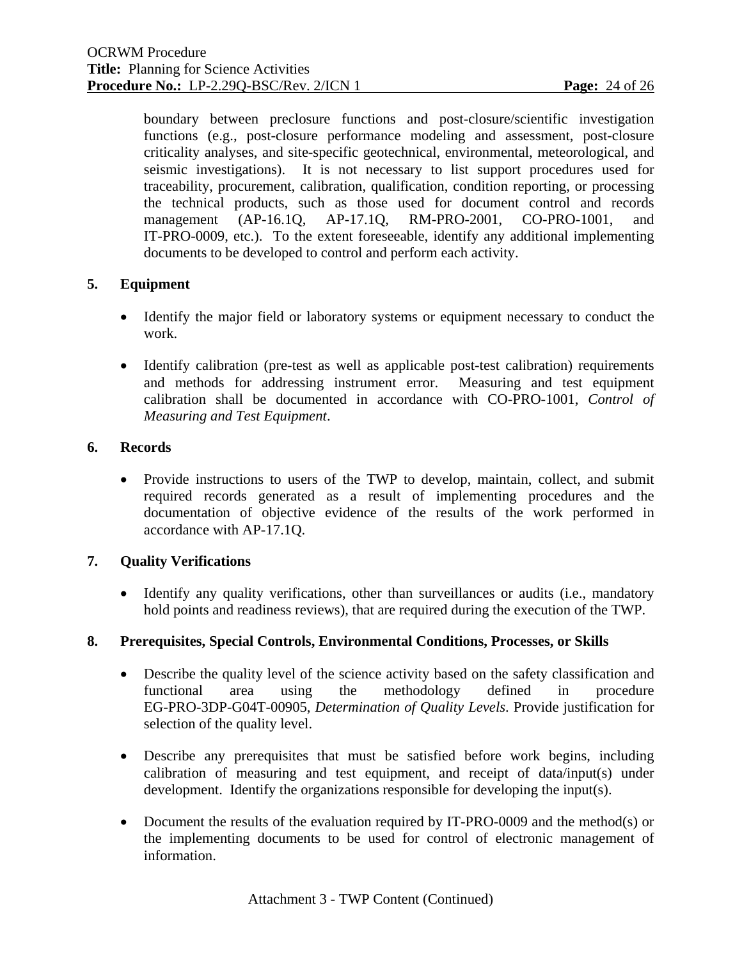boundary between preclosure functions and post-closure/scientific investigation functions (e.g., post-closure performance modeling and assessment, post-closure criticality analyses, and site-specific geotechnical, environmental, meteorological, and seismic investigations). It is not necessary to list support procedures used for traceability, procurement, calibration, qualification, condition reporting, or processing the technical products, such as those used for document control and records management (AP-16.1Q, AP-17.1Q, RM-PRO-2001, CO-PRO-1001, and IT-PRO-0009, etc.). To the extent foreseeable, identify any additional implementing documents to be developed to control and perform each activity.

# **5. Equipment**

- Identify the major field or laboratory systems or equipment necessary to conduct the work.
- Identify calibration (pre-test as well as applicable post-test calibration) requirements and methods for addressing instrument error. Measuring and test equipment calibration shall be documented in accordance with CO-PRO-1001, *Control of Measuring and Test Equipment*.

# **6. Records**

• Provide instructions to users of the TWP to develop, maintain, collect, and submit required records generated as a result of implementing procedures and the documentation of objective evidence of the results of the work performed in accordance with AP-17.1Q.

# **7. Quality Verifications**

• Identify any quality verifications, other than surveillances or audits (i.e., mandatory hold points and readiness reviews), that are required during the execution of the TWP.

#### **8. Prerequisites, Special Controls, Environmental Conditions, Processes, or Skills**

- Describe the quality level of the science activity based on the safety classification and functional area using the methodology defined in procedure EG-PRO-3DP-G04T-00905, *Determination of Quality Levels*. Provide justification for selection of the quality level.
- Describe any prerequisites that must be satisfied before work begins, including calibration of measuring and test equipment, and receipt of data/input(s) under development. Identify the organizations responsible for developing the input(s).
- Document the results of the evaluation required by IT-PRO-0009 and the method(s) or the implementing documents to be used for control of electronic management of information.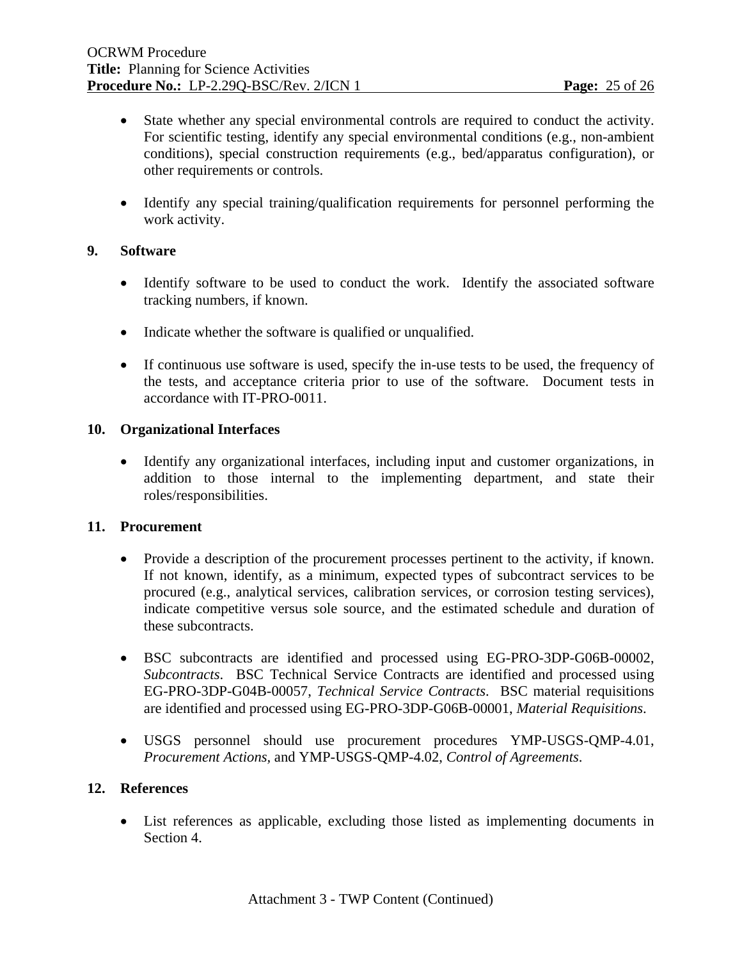- State whether any special environmental controls are required to conduct the activity. For scientific testing, identify any special environmental conditions (e.g., non-ambient conditions), special construction requirements (e.g., bed/apparatus configuration), or other requirements or controls.
- Identify any special training/qualification requirements for personnel performing the work activity.

# **9. Software**

- Identify software to be used to conduct the work. Identify the associated software tracking numbers, if known.
- Indicate whether the software is qualified or unqualified.
- If continuous use software is used, specify the in-use tests to be used, the frequency of the tests, and acceptance criteria prior to use of the software. Document tests in accordance with IT-PRO-0011.

# **10. Organizational Interfaces**

• Identify any organizational interfaces, including input and customer organizations, in addition to those internal to the implementing department, and state their roles/responsibilities.

#### **11. Procurement**

- Provide a description of the procurement processes pertinent to the activity, if known. If not known, identify, as a minimum, expected types of subcontract services to be procured (e.g., analytical services, calibration services, or corrosion testing services), indicate competitive versus sole source, and the estimated schedule and duration of these subcontracts.
- BSC subcontracts are identified and processed using EG-PRO-3DP-G06B-00002, *Subcontracts*. BSC Technical Service Contracts are identified and processed using EG-PRO-3DP-G04B-00057, *Technical Service Contracts*. BSC material requisitions are identified and processed using EG-PRO-3DP-G06B-00001, *Material Requisitions*.
- USGS personnel should use procurement procedures YMP-USGS-QMP-4.01, *Procurement Actions,* and YMP-USGS-QMP-4.02, *Control of Agreements*.

#### **12. References**

• List references as applicable, excluding those listed as implementing documents in Section 4.